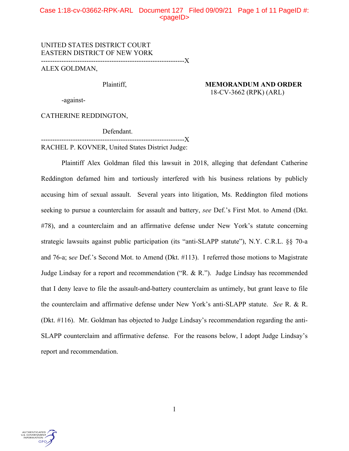## Case 1:18-cv-03662-RPK-ARL Document 127 Filed 09/09/21 Page 1 of 11 PageID #:  $<$ pageID $>$

# UNITED STATES DISTRICT COURT EASTERN DISTRICT OF NEW YORK ---------------------------------------------------------------X

ALEX GOLDMAN,

# Plaintiff, **MEMORANDUM AND ORDER** 18-CV-3662 (RPK) (ARL)

-against-

CATHERINE REDDINGTON,

Defendant.

--------------------------------------X RACHEL P. KOVNER, United States District Judge:

Plaintiff Alex Goldman filed this lawsuit in 2018, alleging that defendant Catherine Reddington defamed him and tortiously interfered with his business relations by publicly accusing him of sexual assault. Several years into litigation, Ms. Reddington filed motions seeking to pursue a counterclaim for assault and battery, *see* Def.'s First Mot. to Amend (Dkt. #78), and a counterclaim and an affirmative defense under New York's statute concerning strategic lawsuits against public participation (its "anti-SLAPP statute"), N.Y. C.R.L. §§ 70-a and 76-a; s*ee* Def.'s Second Mot. to Amend (Dkt. #113). I referred those motions to Magistrate Judge Lindsay for a report and recommendation ("R. & R."). Judge Lindsay has recommended that I deny leave to file the assault-and-battery counterclaim as untimely, but grant leave to file the counterclaim and affirmative defense under New York's anti-SLAPP statute. *See* R. & R. (Dkt. #116). Mr. Goldman has objected to Judge Lindsay's recommendation regarding the anti-SLAPP counterclaim and affirmative defense. For the reasons below, I adopt Judge Lindsay's report and recommendation.

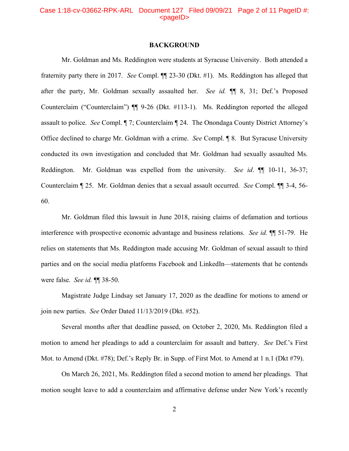### Case 1:18-cv-03662-RPK-ARL Document 127 Filed 09/09/21 Page 2 of 11 PageID #:  $<sub>pa</sub>$  $<sub>o</sub>$ </sub></sub>

### **BACKGROUND**

Mr. Goldman and Ms. Reddington were students at Syracuse University. Both attended a fraternity party there in 2017. *See* Compl. ¶¶ 23-30 (Dkt. #1). Ms. Reddington has alleged that after the party, Mr. Goldman sexually assaulted her. *See id.* ¶¶ 8, 31; Def.'s Proposed Counterclaim ("Counterclaim") ¶¶ 9-26 (Dkt. #113-1). Ms. Reddington reported the alleged assault to police. *See* Compl. ¶ 7; Counterclaim ¶ 24. The Onondaga County District Attorney's Office declined to charge Mr. Goldman with a crime. *See* Compl. ¶ 8. But Syracuse University conducted its own investigation and concluded that Mr. Goldman had sexually assaulted Ms. Reddington. Mr. Goldman was expelled from the university. *See id*. ¶¶ 10-11, 36-37; Counterclaim ¶ 25. Mr. Goldman denies that a sexual assault occurred. *See* Compl. ¶¶ 3-4, 56- 60.

Mr. Goldman filed this lawsuit in June 2018, raising claims of defamation and tortious interference with prospective economic advantage and business relations. *See id.* ¶¶ 51-79. He relies on statements that Ms. Reddington made accusing Mr. Goldman of sexual assault to third parties and on the social media platforms Facebook and LinkedIn—statements that he contends were false. *See id.* ¶¶ 38-50.

Magistrate Judge Lindsay set January 17, 2020 as the deadline for motions to amend or join new parties. *See* Order Dated 11/13/2019 (Dkt. #52).

Several months after that deadline passed, on October 2, 2020, Ms. Reddington filed a motion to amend her pleadings to add a counterclaim for assault and battery. *See* Def.'s First Mot. to Amend (Dkt. #78); Def.'s Reply Br. in Supp. of First Mot. to Amend at 1 n.1 (Dkt #79).

On March 26, 2021, Ms. Reddington filed a second motion to amend her pleadings. That motion sought leave to add a counterclaim and affirmative defense under New York's recently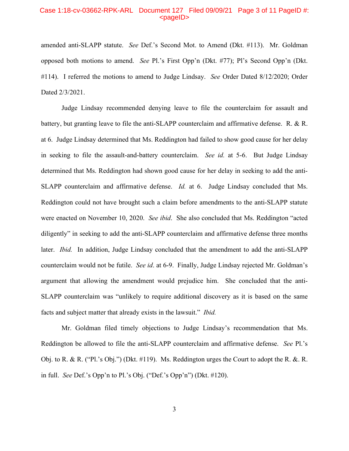#### Case 1:18-cv-03662-RPK-ARL Document 127 Filed 09/09/21 Page 3 of 11 PageID #:  $<sub>pa</sub>$  $<sub>o</sub>$ </sub></sub>

amended anti-SLAPP statute. *See* Def.'s Second Mot. to Amend (Dkt. #113). Mr. Goldman opposed both motions to amend. *See* Pl.'s First Opp'n (Dkt. #77); Pl's Second Opp'n (Dkt. #114). I referred the motions to amend to Judge Lindsay. *See* Order Dated 8/12/2020; Order Dated 2/3/2021.

Judge Lindsay recommended denying leave to file the counterclaim for assault and battery, but granting leave to file the anti-SLAPP counterclaim and affirmative defense. R. & R. at 6. Judge Lindsay determined that Ms. Reddington had failed to show good cause for her delay in seeking to file the assault-and-battery counterclaim. *See id.* at 5-6. But Judge Lindsay determined that Ms. Reddington had shown good cause for her delay in seeking to add the anti-SLAPP counterclaim and affirmative defense. *Id.* at 6. Judge Lindsay concluded that Ms. Reddington could not have brought such a claim before amendments to the anti-SLAPP statute were enacted on November 10, 2020. *See ibid*. She also concluded that Ms. Reddington "acted diligently" in seeking to add the anti-SLAPP counterclaim and affirmative defense three months later. *Ibid.* In addition, Judge Lindsay concluded that the amendment to add the anti-SLAPP counterclaim would not be futile. *See id*. at 6-9.Finally, Judge Lindsay rejected Mr. Goldman's argument that allowing the amendment would prejudice him. She concluded that the anti-SLAPP counterclaim was "unlikely to require additional discovery as it is based on the same facts and subject matter that already exists in the lawsuit." *Ibid.*

Mr. Goldman filed timely objections to Judge Lindsay's recommendation that Ms. Reddington be allowed to file the anti-SLAPP counterclaim and affirmative defense. *See* Pl.'s Obj. to R. & R. ("Pl.'s Obj.") (Dkt. #119). Ms. Reddington urges the Court to adopt the R. &. R. in full. *See* Def.'s Opp'n to Pl.'s Obj. ("Def.'s Opp'n") (Dkt. #120).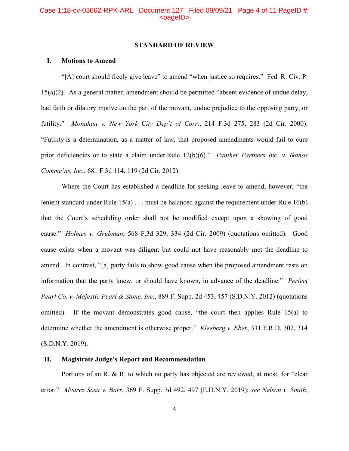#### **STANDARD OF REVIEW**

### **I. Motions to Amend**

"[A] court should freely give leave" to amend "when justice so requires." Fed. R. Civ. P. 15(a)(2). As a general matter, amendment should be permitted "absent evidence of undue delay, bad faith or dilatory motive on the part of the movant, undue prejudice to the opposing party, or futility." *Monahan v. New York City Dep't of Corr.*, 214 F.3d 275, 283 (2d Cir. 2000). "Futility is a determination, as a matter of law, that proposed amendments would fail to cure prior deficiencies or to state a claim under Rule 12(b)(6)." *Panther Partners Inc. v. Ikanos Commc'ns, Inc.*, 681 F.3d 114, 119 (2d Cir. 2012).

Where the Court has established a deadline for seeking leave to amend, however, "the lenient standard under Rule 15(a) . . . must be balanced against the requirement under Rule 16(b) that the Court's scheduling order shall not be modified except upon a showing of good cause." *Holmes v. Grubman*, 568 F.3d 329, 334 (2d Cir. 2009) (quotations omitted). Good cause exists when a movant was diligent but could not have reasonably met the deadline to amend. In contrast, "[a] party fails to show good cause when the proposed amendment rests on information that the party knew, or should have known, in advance of the deadline." *Perfect Pearl Co. v. Majestic Pearl & Stone, Inc.*, 889 F. Supp. 2d 453, 457 (S.D.N.Y. 2012) (quotations omitted). If the movant demonstrates good cause, "the court then applies Rule 15(a) to determine whether the amendment is otherwise proper." *Kleeberg v. Eber*, 331 F.R.D. 302, 314 (S.D.N.Y. 2019).

### **II. Magistrate Judge's Report and Recommendation**

Portions of an R. & R. to which no party has objected are reviewed, at most, for "clear error." *Alvarez Sosa v. Barr*, 369 F. Supp. 3d 492, 497 (E.D.N.Y. 2019); *see Nelson v. Smith*,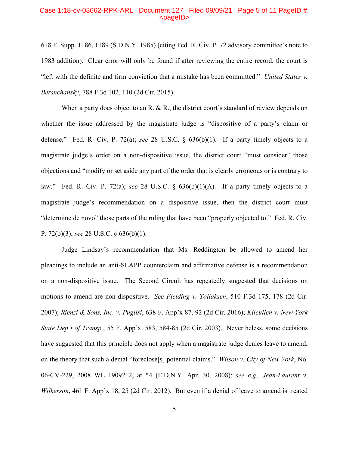#### Case 1:18-cv-03662-RPK-ARL Document 127 Filed 09/09/21 Page 5 of 11 PageID #:  $<sub>pa</sub>$  $<sub>o</sub>$ </sub></sub>

618 F. Supp. 1186, 1189 (S.D.N.Y. 1985) (citing Fed. R. Civ. P. 72 advisory committee's note to 1983 addition). Clear error will only be found if after reviewing the entire record, the court is "left with the definite and firm conviction that a mistake has been committed." *United States v. Bershchansky*, 788 F.3d 102, 110 (2d Cir. 2015).

When a party does object to an R. & R., the district court's standard of review depends on whether the issue addressed by the magistrate judge is "dispositive of a party's claim or defense." Fed. R. Civ. P. 72(a); *see* 28 U.S.C. § 636(b)(1). If a party timely objects to a magistrate judge's order on a non-dispositive issue, the district court "must consider" those objections and "modify or set aside any part of the order that is clearly erroneous or is contrary to law." Fed. R. Civ. P. 72(a); *see* 28 U.S.C. § 636(b)(1)(A). If a party timely objects to a magistrate judge's recommendation on a dispositive issue, then the district court must "determine de novo" those parts of the ruling that have been "properly objected to." Fed. R. Civ. P. 72(b)(3); *see* 28 U.S.C. § 636(b)(1).

Judge Lindsay's recommendation that Ms. Reddington be allowed to amend her pleadings to include an anti-SLAPP counterclaim and affirmative defense is a recommendation on a non-dispositive issue. The Second Circuit has repeatedly suggested that decisions on motions to amend are non-dispositive. *See Fielding v. Tollaksen*, 510 F.3d 175, 178 (2d Cir. 2007); *Rienzi & Sons, Inc. v. Puglisi*, 638 F. App'x 87, 92 (2d Cir. 2016); *Kilcullen v. New York State Dep't of Transp.*, 55 F. App'x. 583, 584-85 (2d Cir. 2003). Nevertheless, some decisions have suggested that this principle does not apply when a magistrate judge denies leave to amend, on the theory that such a denial "foreclose[s] potential claims." *Wilson v. City of New York*, No. 06-CV-229, 2008 WL 1909212, at \*4 (E.D.N.Y. Apr. 30, 2008); *see e.g.*, *Jean-Laurent v. Wilkerson*, 461 F. App'x 18, 25 (2d Cir. 2012). But even if a denial of leave to amend is treated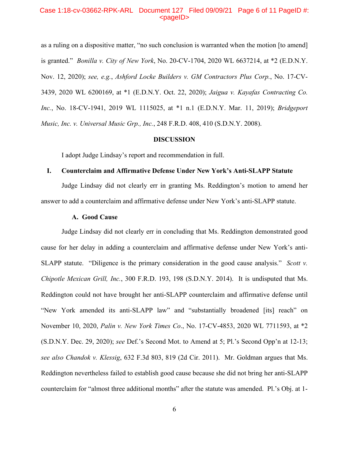### Case 1:18-cv-03662-RPK-ARL Document 127 Filed 09/09/21 Page 6 of 11 PageID #:  $<sub>pa</sub>$ gelD $>$ </sub>

as a ruling on a dispositive matter, "no such conclusion is warranted when the motion [to amend] is granted." *Bonilla v. City of New York*, No. 20-CV-1704, 2020 WL 6637214, at \*2 (E.D.N.Y. Nov. 12, 2020); *see, e.g.*, *Ashford Locke Builders v. GM Contractors Plus Corp.*, No. 17-CV-3439, 2020 WL 6200169, at \*1 (E.D.N.Y. Oct. 22, 2020); *Jaigua v. Kayafas Contracting Co. Inc.*, No. 18-CV-1941, 2019 WL 1115025, at \*1 n.1 (E.D.N.Y. Mar. 11, 2019); *Bridgeport Music, Inc. v. Universal Music Grp., Inc.*, 248 F.R.D. 408, 410 (S.D.N.Y. 2008).

#### **DISCUSSION**

I adopt Judge Lindsay's report and recommendation in full.

### **I. Counterclaim and Affirmative Defense Under New York's Anti-SLAPP Statute**

Judge Lindsay did not clearly err in granting Ms. Reddington's motion to amend her answer to add a counterclaim and affirmative defense under New York's anti-SLAPP statute.

### **A. Good Cause**

Judge Lindsay did not clearly err in concluding that Ms. Reddington demonstrated good cause for her delay in adding a counterclaim and affirmative defense under New York's anti-SLAPP statute. "Diligence is the primary consideration in the good cause analysis." *Scott v. Chipotle Mexican Grill, Inc.*, 300 F.R.D. 193, 198 (S.D.N.Y. 2014). It is undisputed that Ms. Reddington could not have brought her anti-SLAPP counterclaim and affirmative defense until "New York amended its anti-SLAPP law" and "substantially broadened [its] reach" on November 10, 2020, *Palin v. New York Times Co*., No. 17-CV-4853, 2020 WL 7711593, at \*2 (S.D.N.Y. Dec. 29, 2020); *see* Def.'s Second Mot. to Amend at 5; Pl.'s Second Opp'n at 12-13; *see also Chandok v. Klessig*, 632 F.3d 803, 819 (2d Cir. 2011). Mr. Goldman argues that Ms. Reddington nevertheless failed to establish good cause because she did not bring her anti-SLAPP counterclaim for "almost three additional months" after the statute was amended. Pl.'s Obj. at 1-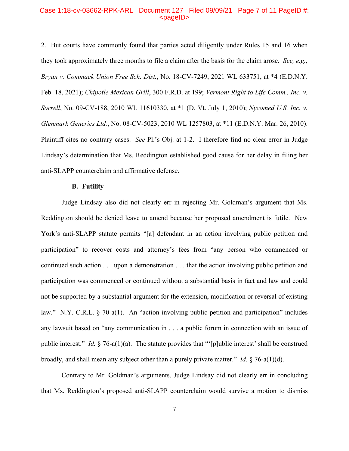### Case 1:18-cv-03662-RPK-ARL Document 127 Filed 09/09/21 Page 7 of 11 PageID #:  $<sub>pa</sub>$  $<sub>o</sub>$ </sub></sub>

2. But courts have commonly found that parties acted diligently under Rules 15 and 16 when they took approximately three months to file a claim after the basis for the claim arose. *See, e.g.*, *Bryan v. Commack Union Free Sch. Dist.*, No. 18-CV-7249, 2021 WL 633751, at \*4 (E.D.N.Y. Feb. 18, 2021); *Chipotle Mexican Grill*, 300 F.R.D. at 199; *Vermont Right to Life Comm., Inc. v. Sorrell*, No. 09-CV-188, 2010 WL 11610330, at \*1 (D. Vt. July 1, 2010); *Nycomed U.S. Inc. v. Glenmark Generics Ltd.*, No. 08-CV-5023, 2010 WL 1257803, at \*11 (E.D.N.Y. Mar. 26, 2010). Plaintiff cites no contrary cases. *See* Pl.'s Obj. at 1-2. I therefore find no clear error in Judge Lindsay's determination that Ms. Reddington established good cause for her delay in filing her anti-SLAPP counterclaim and affirmative defense.

#### **B. Futility**

Judge Lindsay also did not clearly err in rejecting Mr. Goldman's argument that Ms. Reddington should be denied leave to amend because her proposed amendment is futile. New York's anti-SLAPP statute permits "[a] defendant in an action involving public petition and participation" to recover costs and attorney's fees from "any person who commenced or continued such action . . . upon a demonstration . . . that the action involving public petition and participation was commenced or continued without a substantial basis in fact and law and could not be supported by a substantial argument for the extension, modification or reversal of existing law." N.Y. C.R.L. § 70-a(1). An "action involving public petition and participation" includes any lawsuit based on "any communication in . . . a public forum in connection with an issue of public interest." *Id.* § 76-a(1)(a). The statute provides that "'[p]ublic interest' shall be construed broadly, and shall mean any subject other than a purely private matter." *Id.* § 76-a(1)(d).

Contrary to Mr. Goldman's arguments, Judge Lindsay did not clearly err in concluding that Ms. Reddington's proposed anti-SLAPP counterclaim would survive a motion to dismiss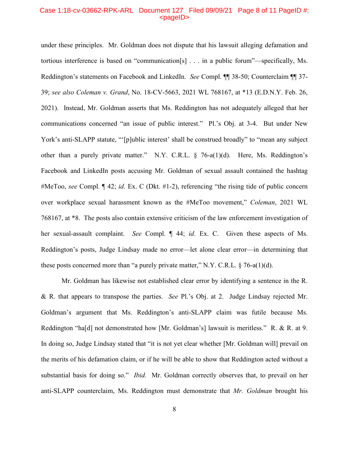### Case 1:18-cv-03662-RPK-ARL Document 127 Filed 09/09/21 Page 8 of 11 PageID #:  $<sub>pa</sub>$ gelD $>$ </sub>

under these principles. Mr. Goldman does not dispute that his lawsuit alleging defamation and tortious interference is based on "communication[s] . . . in a public forum"—specifically, Ms. Reddington's statements on Facebook and LinkedIn. *See* Compl. ¶¶ 38-50; Counterclaim ¶¶ 37- 39; *see also Coleman v. Grand*, No. 18-CV-5663, 2021 WL 768167, at \*13 (E.D.N.Y. Feb. 26, 2021). Instead, Mr. Goldman asserts that Ms. Reddington has not adequately alleged that her communications concerned "an issue of public interest." Pl.'s Obj. at 3-4. But under New York's anti-SLAPP statute, "'[p]ublic interest' shall be construed broadly" to "mean any subject other than a purely private matter." N.Y. C.R.L. § 76-a(1)(d). Here, Ms. Reddington's Facebook and LinkedIn posts accusing Mr. Goldman of sexual assault contained the hashtag #MeToo, *see* Compl. ¶ 42; *id.* Ex. C (Dkt. #1-2), referencing "the rising tide of public concern over workplace sexual harassment known as the #MeToo movement," *Coleman*, 2021 WL 768167, at \*8. The posts also contain extensive criticism of the law enforcement investigation of her sexual-assault complaint. *See* Compl. ¶ 44; *id.* Ex. C. Given these aspects of Ms. Reddington's posts, Judge Lindsay made no error—let alone clear error—in determining that these posts concerned more than "a purely private matter," N.Y. C.R.L.  $\S$  76-a(1)(d).

Mr. Goldman has likewise not established clear error by identifying a sentence in the R. & R. that appears to transpose the parties. *See* Pl.'s Obj. at 2. Judge Lindsay rejected Mr. Goldman's argument that Ms. Reddington's anti-SLAPP claim was futile because Ms. Reddington "ha[d] not demonstrated how [Mr. Goldman's] lawsuit is meritless." R. & R. at 9. In doing so, Judge Lindsay stated that "it is not yet clear whether [Mr. Goldman will] prevail on the merits of his defamation claim, or if he will be able to show that Reddington acted without a substantial basis for doing so." *Ibid.* Mr. Goldman correctly observes that, to prevail on her anti-SLAPP counterclaim, Ms. Reddington must demonstrate that *Mr. Goldman* brought his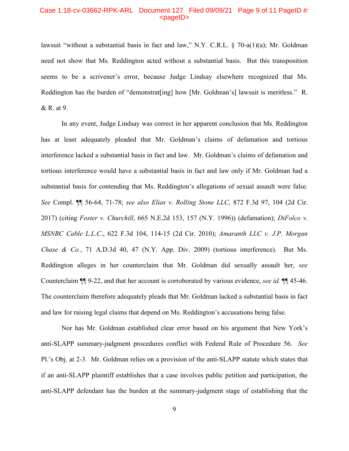### Case 1:18-cv-03662-RPK-ARL Document 127 Filed 09/09/21 Page 9 of 11 PageID #:  $<sub>pa</sub>$ gelD $>$ </sub>

lawsuit "without a substantial basis in fact and law," N.Y. C.R.L. § 70-a(1)(a); Mr. Goldman need not show that Ms. Reddington acted without a substantial basis. But this transposition seems to be a scrivener's error, because Judge Lindsay elsewhere recognized that Ms. Reddington has the burden of "demonstrat [ing] how [Mr. Goldman's] lawsuit is meritless." R. & R. at 9.

In any event, Judge Lindsay was correct in her apparent conclusion that Ms. Reddington has at least adequately pleaded that Mr. Goldman's claims of defamation and tortious interference lacked a substantial basis in fact and law. Mr. Goldman's claims of defamation and tortious interference would have a substantial basis in fact and law only if Mr. Goldman had a substantial basis for contending that Ms. Reddington's allegations of sexual assault were false. *See* Compl. ¶¶ 56-64, 71-78; *see also Elias v. Rolling Stone LLC*, 872 F.3d 97, 104 (2d Cir. 2017) (citing *Foster v. Churchill*, 665 N.E.2d 153, 157 (N.Y. 1996)) (defamation); *DiFolco v. MSNBC Cable L.L.C*., 622 F.3d 104, 114-15 (2d Cir. 2010); *Amaranth LLC v. J.P. Morgan Chase & Co.*, 71 A.D.3d 40, 47 (N.Y. App. Div. 2009) (tortious interference). But Ms. Reddington alleges in her counterclaim that Mr. Goldman did sexually assault her, *see*  Counterclaim ¶¶ 9-22, and that her account is corroborated by various evidence, *see id.* ¶¶ 45-46. The counterclaim therefore adequately pleads that Mr. Goldman lacked a substantial basis in fact and law for raising legal claims that depend on Ms. Reddington's accusations being false.

Nor has Mr. Goldman established clear error based on his argument that New York's anti-SLAPP summary-judgment procedures conflict with Federal Rule of Procedure 56. *See*  Pl.'s Obj. at 2-3. Mr. Goldman relies on a provision of the anti-SLAPP statute which states that if an anti-SLAPP plaintiff establishes that a case involves public petition and participation, the anti-SLAPP defendant has the burden at the summary-judgment stage of establishing that the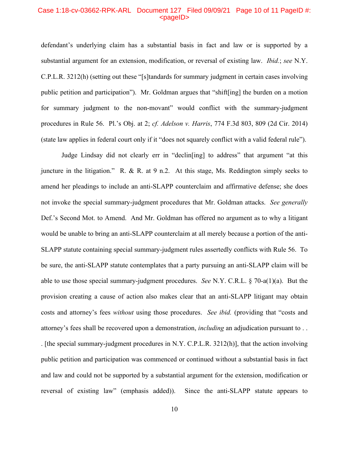#### Case 1:18-cv-03662-RPK-ARL Document 127 Filed 09/09/21 Page 10 of 11 PageID #: <pageID>

defendant's underlying claim has a substantial basis in fact and law or is supported by a substantial argument for an extension, modification, or reversal of existing law. *Ibid.*; *see* N.Y. C.P.L.R. 3212(h) (setting out these "[s]tandards for summary judgment in certain cases involving public petition and participation"). Mr. Goldman argues that "shift[ing] the burden on a motion for summary judgment to the non-movant" would conflict with the summary-judgment procedures in Rule 56. Pl.'s Obj. at 2; *cf. Adelson v. Harris*, 774 F.3d 803, 809 (2d Cir. 2014) (state law applies in federal court only if it "does not squarely conflict with a valid federal rule").

Judge Lindsay did not clearly err in "declin[ing] to address" that argument "at this juncture in the litigation." R. & R. at 9 n.2. At this stage, Ms. Reddington simply seeks to amend her pleadings to include an anti-SLAPP counterclaim and affirmative defense; she does not invoke the special summary-judgment procedures that Mr. Goldman attacks. *See generally* Def.'s Second Mot. to Amend. And Mr. Goldman has offered no argument as to why a litigant would be unable to bring an anti-SLAPP counterclaim at all merely because a portion of the anti-SLAPP statute containing special summary-judgment rules assertedly conflicts with Rule 56. To be sure, the anti-SLAPP statute contemplates that a party pursuing an anti-SLAPP claim will be able to use those special summary-judgment procedures. *See* N.Y. C.R.L. § 70-a(1)(a). But the provision creating a cause of action also makes clear that an anti-SLAPP litigant may obtain costs and attorney's fees *without* using those procedures. *See ibid.* (providing that "costs and attorney's fees shall be recovered upon a demonstration, *including* an adjudication pursuant to . . . [the special summary-judgment procedures in N.Y. C.P.L.R. 3212(h)], that the action involving public petition and participation was commenced or continued without a substantial basis in fact and law and could not be supported by a substantial argument for the extension, modification or reversal of existing law" (emphasis added)). Since the anti-SLAPP statute appears to